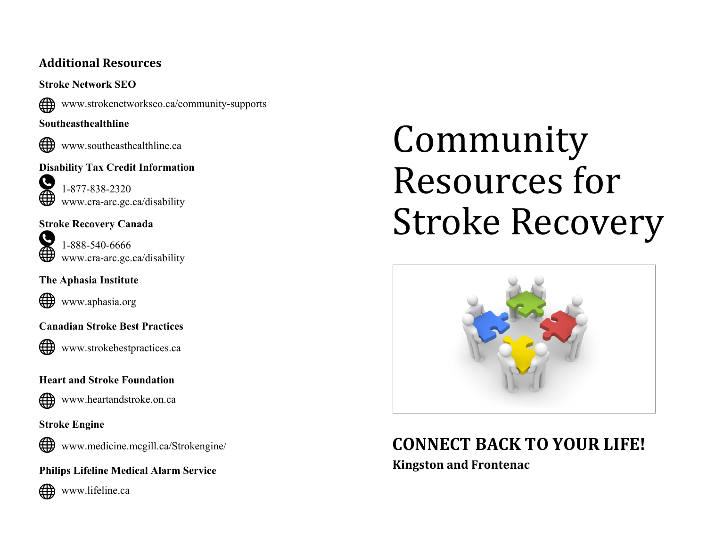#### **Additional Resources**

**Stroke Network SEO** 



www.strokenetworkseo.ca/community-supports

#### **Southeasthealthline**



www.southeasthealthline.ca





1-877-838-2320 www.cra-arc.gc.ca/disability

**Stroke Recovery Canada**



1-888-540-6666 www.cra-arc.gc.ca/disability

**The Aphasia Institute**



www.aphasia.org

**Canadian Stroke Best Practices**



#### **Heart and Stroke Foundation**



www.heartandstroke.on.ca

#### **Stroke Engine**



www.medicine.mcgill.ca/Strokengine/

**Philips Lifeline Medical Alarm Service** 



www.lifeline.ca

# Community Resources for Stroke Recovery



# **CONNECT BACK TO YOUR LIFE!**

**Kingston and Frontenac**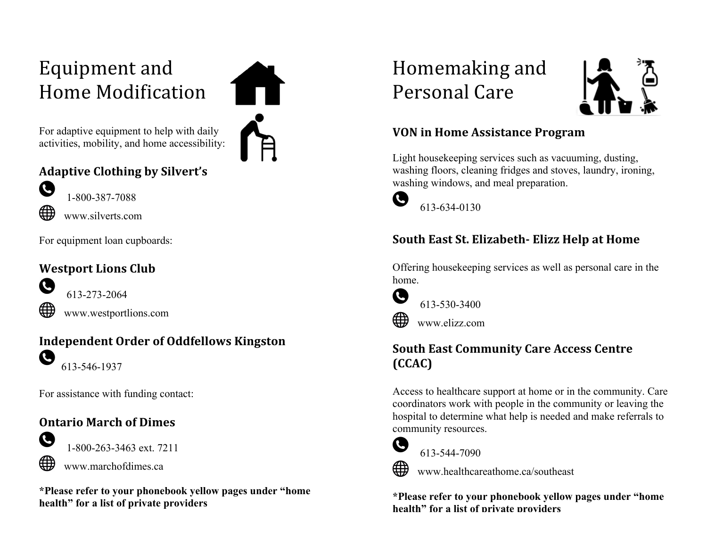# Equipment and Home Modification

For adaptive equipment to help with daily activities, mobility, and home accessibility:

## **Adaptive Clothing by Silvert's**



1-800-387-7088 www.silverts.com

For equipment loan cupboards:

#### **Westport Lions Club**



613-273-2064

www.westportlions.com

# **Independent Order of Oddfellows Kingston**

O 613-546-1937

For assistance with funding contact:

## **Ontario March of Dimes**



1-800-263-3463 ext. 7211

www.marchofdimes.ca

**\*Please refer to your phonebook yellow pages under "home health" for a list of private providers**

# Homemaking and Personal Care



#### **VON in Home Assistance Program**

Light housekeeping services such as vacuuming, dusting, washing floors, cleaning fridges and stoves, laundry, ironing, washing windows, and meal preparation.



613-634-0130

#### **South East St. Elizabeth- Elizz Help at Home**

Offering housekeeping services as well as personal care in the home.



- 613-530-3400
- www.elizz.com

#### **South East Community Care Access Centre (CCAC)**

Access to healthcare support at home or in the community. Care coordinators work with people in the community or leaving the hospital to determine what help is needed and make referrals to community resources.



613-544-7090

www.healthcareathome.ca/southeast

**\*Please refer to your phonebook yellow pages under "home health" for a list of private providers**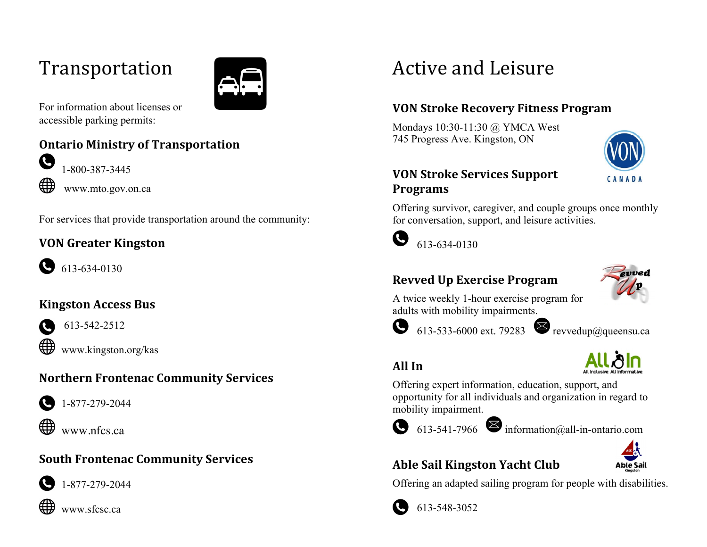# Transportation



For information about licenses or accessible parking permits:

## **Ontario Ministry of Transportation**



1-800-387-3445 www.mto.gov.on.ca

For services that provide transportation around the community:

#### **VON Greater Kingston**

613-634-0130

# **Kingston Access Bus**



613-542-2512

www.kingston.org/kas

# **Northern Frontenac Community Services**



1-877-279-2044



www.nfcs.ca

# **South Frontenac Community Services**



1-877-279-2044



# Active and Leisure

#### **VON Stroke Recovery Fitness Program**

Mondays 10:30-11:30 @ YMCA West 745 Progress Ave. Kingston, ON



#### **VON Stroke Services Support Programs**







## **Revved Up Exercise Program**



A twice weekly 1-hour exercise program for adults with mobility impairments.



613-533-6000 ext. 79283  $\bullet$  revvedup@queensu.ca

# **All** In



Offering expert information, education, support, and opportunity for all individuals and organization in regard to mobility impairment.



613-541-7966 information@all-in-ontario.com



# **Able Sail Kingston Yacht Club**

Offering an adapted sailing program for people with disabilities.



613-548-3052